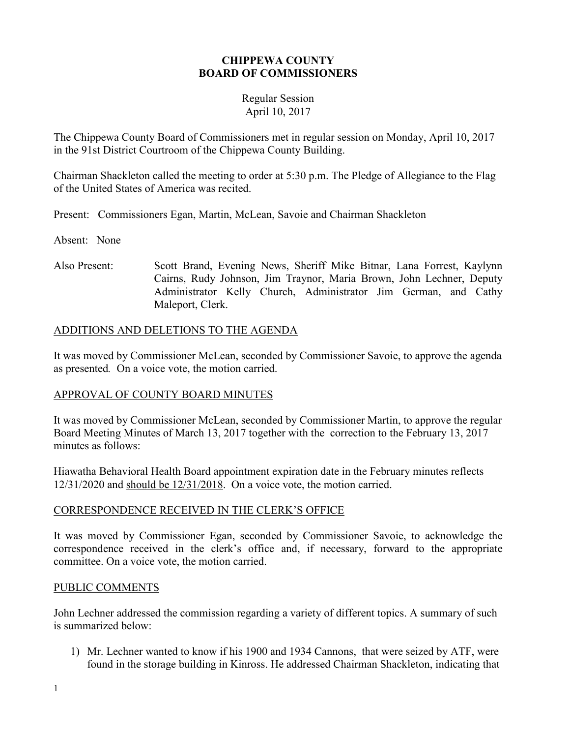## **CHIPPEWA COUNTY BOARD OF COMMISSIONERS**

## Regular Session April 10, 2017

The Chippewa County Board of Commissioners met in regular session on Monday, April 10, 2017 in the 91st District Courtroom of the Chippewa County Building.

Chairman Shackleton called the meeting to order at 5:30 p.m. The Pledge of Allegiance to the Flag of the United States of America was recited.

Present: Commissioners Egan, Martin, McLean, Savoie and Chairman Shackleton

Absent: None

Also Present: Scott Brand, Evening News, Sheriff Mike Bitnar, Lana Forrest, Kaylynn Cairns, Rudy Johnson, Jim Traynor, Maria Brown, John Lechner, Deputy Administrator Kelly Church, Administrator Jim German, and Cathy Maleport, Clerk.

## ADDITIONS AND DELETIONS TO THE AGENDA

It was moved by Commissioner McLean, seconded by Commissioner Savoie, to approve the agenda as presented*.* On a voice vote, the motion carried.

## APPROVAL OF COUNTY BOARD MINUTES

It was moved by Commissioner McLean, seconded by Commissioner Martin, to approve the regular Board Meeting Minutes of March 13, 2017 together with the correction to the February 13, 2017 minutes as follows:

Hiawatha Behavioral Health Board appointment expiration date in the February minutes reflects 12/31/2020 and should be 12/31/2018. On a voice vote, the motion carried.

## CORRESPONDENCE RECEIVED IN THE CLERK'S OFFICE

It was moved by Commissioner Egan, seconded by Commissioner Savoie, to acknowledge the correspondence received in the clerk's office and, if necessary, forward to the appropriate committee. On a voice vote, the motion carried.

#### PUBLIC COMMENTS

John Lechner addressed the commission regarding a variety of different topics. A summary of such is summarized below:

1) Mr. Lechner wanted to know if his 1900 and 1934 Cannons, that were seized by ATF, were found in the storage building in Kinross. He addressed Chairman Shackleton, indicating that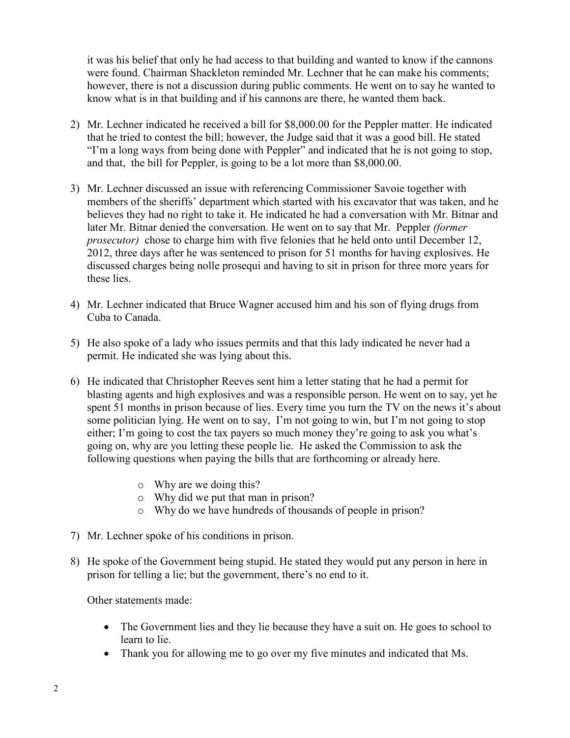it was his belief that only he had access to that building and wanted to know if the cannons were found. Chairman Shackleton reminded Mr. Lechner that he can make his comments; however, there is not a discussion during public comments. He went on to say he wanted to know what is in that building and if his cannons are there, he wanted them back.

- 2) Mr. Lechner indicated he received a bill for \$8,000.00 for the Peppler matter. He indicated that he tried to contest the bill; however, the Judge said that it was a good bill. He stated "I'm a long ways from being done with Peppler" and indicated that he is not going to stop, and that, the bill for Peppler, is going to be a lot more than \$8,000.00.
- 3) Mr. Lechner discussed an issue with referencing Commissioner Savoie together with members of the sheriffs' department which started with his excavator that was taken, and he believes they had no right to take it. He indicated he had a conversation with Mr. Bitnar and later Mr. Bitnar denied the conversation. He went on to say that Mr. Peppler *(former prosecutor*) chose to charge him with five felonies that he held onto until December 12, 2012, three days after he was sentenced to prison for 51 months for having explosives. He discussed charges being nolle prosequi and having to sit in prison for three more years for these lies.
- 4) Mr. Lechner indicated that Bruce Wagner accused him and his son of flying drugs from Cuba to Canada.
- 5) He also spoke of a lady who issues permits and that this lady indicated he never had a permit. He indicated she was lying about this.
- 6) He indicated that Christopher Reeves sent him a letter stating that he had a permit for blasting agents and high explosives and was a responsible person. He went on to say, yet he spent 51 months in prison because of lies. Every time you turn the TV on the news it's about some politician lying. He went on to say, I'm not going to win, but I'm not going to stop either; I'm going to cost the tax payers so much money they're going to ask you what's going on, why are you letting these people lie. He asked the Commission to ask the following questions when paying the bills that are forthcoming or already here.
	- o Why are we doing this?
	- o Why did we put that man in prison?
	- o Why do we have hundreds of thousands of people in prison?
- 7) Mr. Lechner spoke of his conditions in prison.
- 8) He spoke of the Government being stupid. He stated they would put any person in here in prison for telling a lie; but the government, there's no end to it.

Other statements made:

- The Government lies and they lie because they have a suit on. He goes to school to learn to lie.
- Thank you for allowing me to go over my five minutes and indicated that Ms.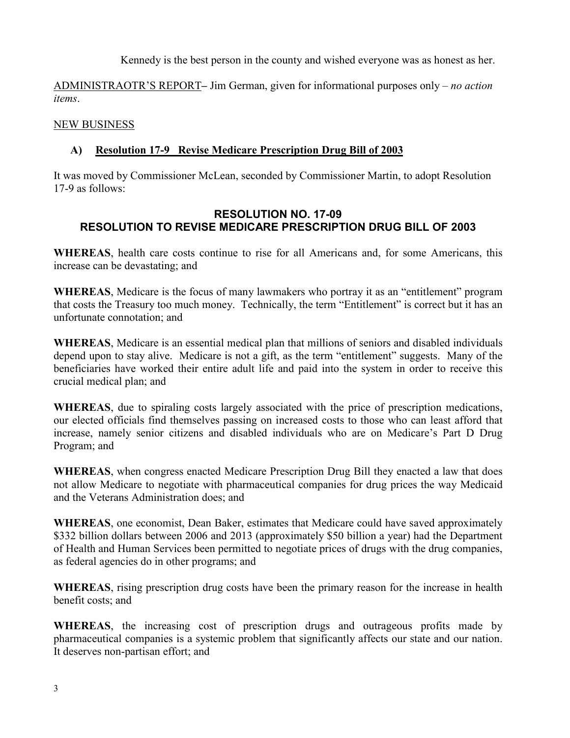Kennedy is the best person in the county and wished everyone was as honest as her.

ADMINISTRAOTR'S REPORT**–** Jim German, given for informational purposes only – *no action items*.

## NEW BUSINESS

## **A) Resolution 17-9 Revise Medicare Prescription Drug Bill of 2003**

It was moved by Commissioner McLean, seconded by Commissioner Martin, to adopt Resolution 17-9 as follows:

## **RESOLUTION NO. 17-09 RESOLUTION TO REVISE MEDICARE PRESCRIPTION DRUG BILL OF 2003**

**WHEREAS**, health care costs continue to rise for all Americans and, for some Americans, this increase can be devastating; and

**WHEREAS**, Medicare is the focus of many lawmakers who portray it as an "entitlement" program that costs the Treasury too much money. Technically, the term "Entitlement" is correct but it has an unfortunate connotation; and

**WHEREAS**, Medicare is an essential medical plan that millions of seniors and disabled individuals depend upon to stay alive. Medicare is not a gift, as the term "entitlement" suggests. Many of the beneficiaries have worked their entire adult life and paid into the system in order to receive this crucial medical plan; and

**WHEREAS**, due to spiraling costs largely associated with the price of prescription medications, our elected officials find themselves passing on increased costs to those who can least afford that increase, namely senior citizens and disabled individuals who are on Medicare's Part D Drug Program; and

**WHEREAS**, when congress enacted Medicare Prescription Drug Bill they enacted a law that does not allow Medicare to negotiate with pharmaceutical companies for drug prices the way Medicaid and the Veterans Administration does; and

**WHEREAS**, one economist, Dean Baker, estimates that Medicare could have saved approximately \$332 billion dollars between 2006 and 2013 (approximately \$50 billion a year) had the Department of Health and Human Services been permitted to negotiate prices of drugs with the drug companies, as federal agencies do in other programs; and

**WHEREAS**, rising prescription drug costs have been the primary reason for the increase in health benefit costs; and

**WHEREAS**, the increasing cost of prescription drugs and outrageous profits made by pharmaceutical companies is a systemic problem that significantly affects our state and our nation. It deserves non-partisan effort; and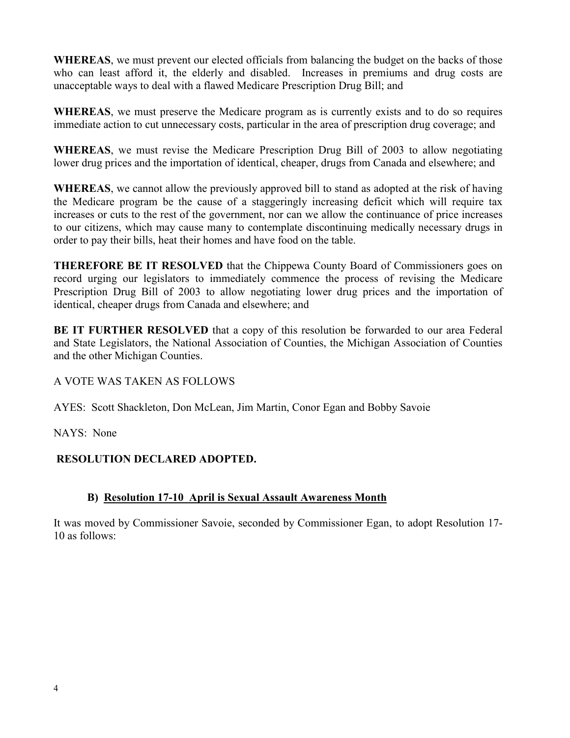**WHEREAS**, we must prevent our elected officials from balancing the budget on the backs of those who can least afford it, the elderly and disabled. Increases in premiums and drug costs are unacceptable ways to deal with a flawed Medicare Prescription Drug Bill; and

**WHEREAS**, we must preserve the Medicare program as is currently exists and to do so requires immediate action to cut unnecessary costs, particular in the area of prescription drug coverage; and

**WHEREAS**, we must revise the Medicare Prescription Drug Bill of 2003 to allow negotiating lower drug prices and the importation of identical, cheaper, drugs from Canada and elsewhere; and

**WHEREAS**, we cannot allow the previously approved bill to stand as adopted at the risk of having the Medicare program be the cause of a staggeringly increasing deficit which will require tax increases or cuts to the rest of the government, nor can we allow the continuance of price increases to our citizens, which may cause many to contemplate discontinuing medically necessary drugs in order to pay their bills, heat their homes and have food on the table.

**THEREFORE BE IT RESOLVED** that the Chippewa County Board of Commissioners goes on record urging our legislators to immediately commence the process of revising the Medicare Prescription Drug Bill of 2003 to allow negotiating lower drug prices and the importation of identical, cheaper drugs from Canada and elsewhere; and

**BE IT FURTHER RESOLVED** that a copy of this resolution be forwarded to our area Federal and State Legislators, the National Association of Counties, the Michigan Association of Counties and the other Michigan Counties.

A VOTE WAS TAKEN AS FOLLOWS

AYES: Scott Shackleton, Don McLean, Jim Martin, Conor Egan and Bobby Savoie

NAYS: None

## **RESOLUTION DECLARED ADOPTED.**

## **B) Resolution 17-10 April is Sexual Assault Awareness Month**

It was moved by Commissioner Savoie, seconded by Commissioner Egan, to adopt Resolution 17- 10 as follows: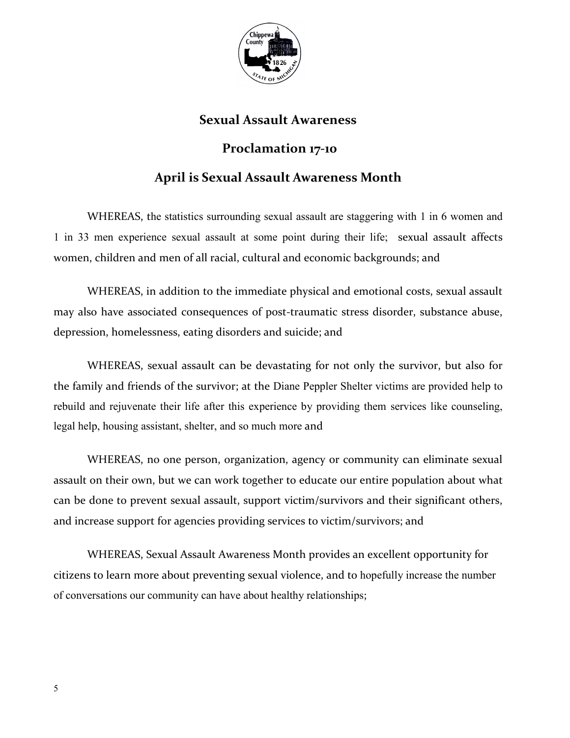

# **Sexual Assault Awareness**

# **Proclamation 17-10**

# **April is Sexual Assault Awareness Month**

WHEREAS, the statistics surrounding sexual assault are staggering with 1 in 6 women and 1 in 33 men experience sexual assault at some point during their life; sexual assault affects women, children and men of all racial, cultural and economic backgrounds; and

WHEREAS, in addition to the immediate physical and emotional costs, sexual assault may also have associated consequences of post-traumatic stress disorder, substance abuse, depression, homelessness, eating disorders and suicide; and

WHEREAS, sexual assault can be devastating for not only the survivor, but also for the family and friends of the survivor; at the Diane Peppler Shelter victims are provided help to rebuild and rejuvenate their life after this experience by providing them services like counseling, legal help, housing assistant, shelter, and so much more and

WHEREAS, no one person, organization, agency or community can eliminate sexual assault on their own, but we can work together to educate our entire population about what can be done to prevent sexual assault, support victim/survivors and their significant others, and increase support for agencies providing services to victim/survivors; and

 WHEREAS, Sexual Assault Awareness Month provides an excellent opportunity for citizens to learn more about preventing sexual violence, and to hopefully increase the number of conversations our community can have about healthy relationships;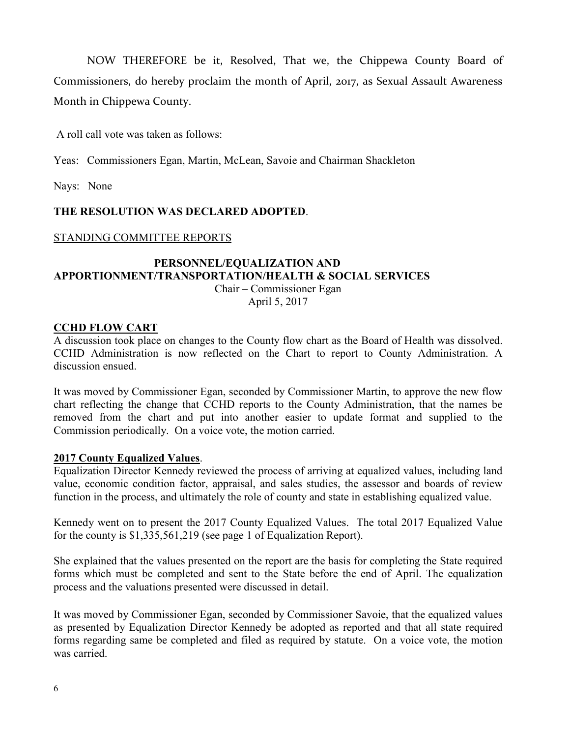NOW THEREFORE be it, Resolved, That we, the Chippewa County Board of Commissioners, do hereby proclaim the month of April, 2017, as Sexual Assault Awareness Month in Chippewa County.

A roll call vote was taken as follows:

Yeas: Commissioners Egan, Martin, McLean, Savoie and Chairman Shackleton

Nays: None

#### **THE RESOLUTION WAS DECLARED ADOPTED**.

#### STANDING COMMITTEE REPORTS

# **PERSONNEL/EQUALIZATION AND APPORTIONMENT/TRANSPORTATION/HEALTH & SOCIAL SERVICES**

Chair – Commissioner Egan April 5, 2017

## **CCHD FLOW CART**

A discussion took place on changes to the County flow chart as the Board of Health was dissolved. CCHD Administration is now reflected on the Chart to report to County Administration. A discussion ensued.

It was moved by Commissioner Egan, seconded by Commissioner Martin, to approve the new flow chart reflecting the change that CCHD reports to the County Administration, that the names be removed from the chart and put into another easier to update format and supplied to the Commission periodically. On a voice vote, the motion carried.

#### **2017 County Equalized Values**.

Equalization Director Kennedy reviewed the process of arriving at equalized values, including land value, economic condition factor, appraisal, and sales studies, the assessor and boards of review function in the process, and ultimately the role of county and state in establishing equalized value.

Kennedy went on to present the 2017 County Equalized Values. The total 2017 Equalized Value for the county is \$1,335,561,219 (see page 1 of Equalization Report).

She explained that the values presented on the report are the basis for completing the State required forms which must be completed and sent to the State before the end of April. The equalization process and the valuations presented were discussed in detail.

It was moved by Commissioner Egan, seconded by Commissioner Savoie, that the equalized values as presented by Equalization Director Kennedy be adopted as reported and that all state required forms regarding same be completed and filed as required by statute. On a voice vote, the motion was carried.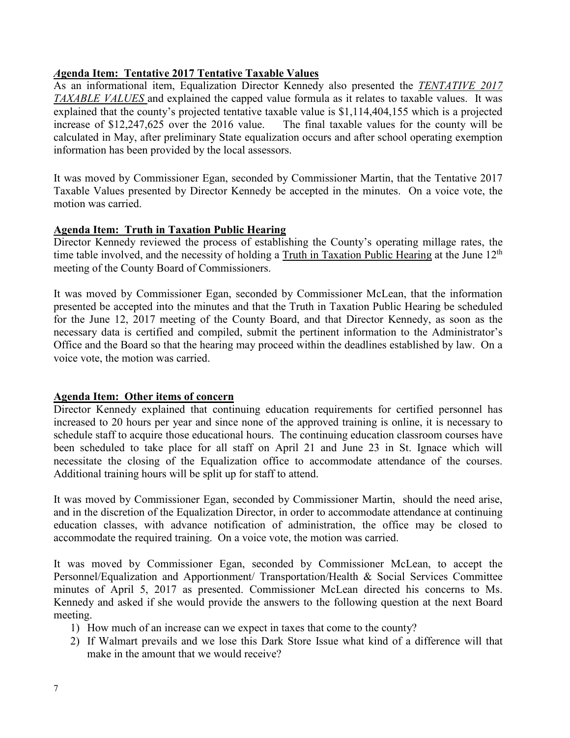## *A***genda Item: Tentative 2017 Tentative Taxable Values**

As an informational item, Equalization Director Kennedy also presented the *TENTATIVE 2017 TAXABLE VALUES* and explained the capped value formula as it relates to taxable values. It was explained that the county's projected tentative taxable value is \$1,114,404,155 which is a projected increase of \$12,247,625 over the 2016 value. The final taxable values for the county will be calculated in May, after preliminary State equalization occurs and after school operating exemption information has been provided by the local assessors.

It was moved by Commissioner Egan, seconded by Commissioner Martin, that the Tentative 2017 Taxable Values presented by Director Kennedy be accepted in the minutes. On a voice vote, the motion was carried.

## **Agenda Item: Truth in Taxation Public Hearing**

Director Kennedy reviewed the process of establishing the County's operating millage rates, the time table involved, and the necessity of holding a Truth in Taxation Public Hearing at the June  $12<sup>th</sup>$ meeting of the County Board of Commissioners.

It was moved by Commissioner Egan, seconded by Commissioner McLean, that the information presented be accepted into the minutes and that the Truth in Taxation Public Hearing be scheduled for the June 12, 2017 meeting of the County Board, and that Director Kennedy, as soon as the necessary data is certified and compiled, submit the pertinent information to the Administrator's Office and the Board so that the hearing may proceed within the deadlines established by law. On a voice vote, the motion was carried.

#### **Agenda Item: Other items of concern**

Director Kennedy explained that continuing education requirements for certified personnel has increased to 20 hours per year and since none of the approved training is online, it is necessary to schedule staff to acquire those educational hours. The continuing education classroom courses have been scheduled to take place for all staff on April 21 and June 23 in St. Ignace which will necessitate the closing of the Equalization office to accommodate attendance of the courses. Additional training hours will be split up for staff to attend.

It was moved by Commissioner Egan, seconded by Commissioner Martin, should the need arise, and in the discretion of the Equalization Director, in order to accommodate attendance at continuing education classes, with advance notification of administration, the office may be closed to accommodate the required training. On a voice vote, the motion was carried.

It was moved by Commissioner Egan, seconded by Commissioner McLean, to accept the Personnel/Equalization and Apportionment/ Transportation/Health & Social Services Committee minutes of April 5, 2017 as presented. Commissioner McLean directed his concerns to Ms. Kennedy and asked if she would provide the answers to the following question at the next Board meeting.

- 1) How much of an increase can we expect in taxes that come to the county?
- 2) If Walmart prevails and we lose this Dark Store Issue what kind of a difference will that make in the amount that we would receive?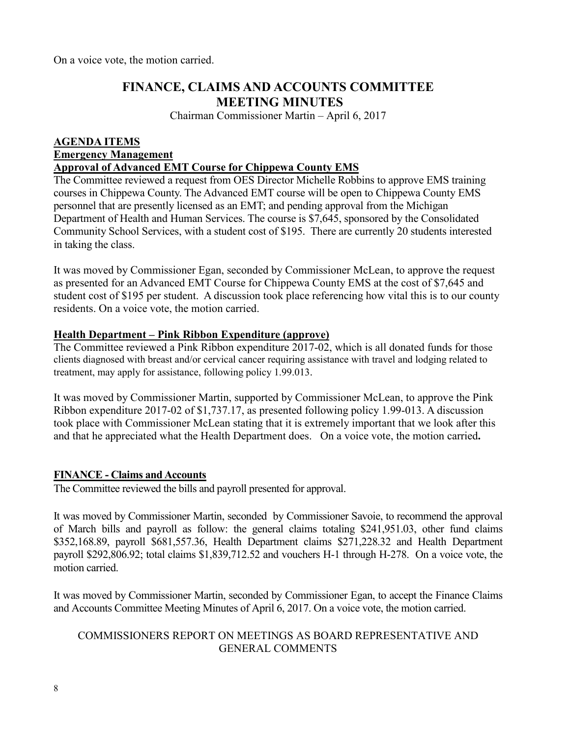On a voice vote, the motion carried.

# **FINANCE, CLAIMS AND ACCOUNTS COMMITTEE MEETING MINUTES**

Chairman Commissioner Martin – April 6, 2017

# **AGENDA ITEMS Emergency Management**

#### **Approval of Advanced EMT Course for Chippewa County EMS**

The Committee reviewed a request from OES Director Michelle Robbins to approve EMS training courses in Chippewa County. The Advanced EMT course will be open to Chippewa County EMS personnel that are presently licensed as an EMT; and pending approval from the Michigan Department of Health and Human Services. The course is \$7,645, sponsored by the Consolidated Community School Services, with a student cost of \$195. There are currently 20 students interested in taking the class.

It was moved by Commissioner Egan, seconded by Commissioner McLean, to approve the request as presented for an Advanced EMT Course for Chippewa County EMS at the cost of \$7,645 and student cost of \$195 per student. A discussion took place referencing how vital this is to our county residents. On a voice vote, the motion carried.

## **Health Department – Pink Ribbon Expenditure (approve)**

The Committee reviewed a Pink Ribbon expenditure 2017-02, which is all donated funds for those clients diagnosed with breast and/or cervical cancer requiring assistance with travel and lodging related to treatment, may apply for assistance, following policy 1.99.013.

It was moved by Commissioner Martin, supported by Commissioner McLean, to approve the Pink Ribbon expenditure 2017-02 of \$1,737.17, as presented following policy 1.99-013. A discussion took place with Commissioner McLean stating that it is extremely important that we look after this and that he appreciated what the Health Department does. On a voice vote, the motion carried**.** 

## **FINANCE - Claims and Accounts**

The Committee reviewed the bills and payroll presented for approval.

It was moved by Commissioner Martin, seconded by Commissioner Savoie, to recommend the approval of March bills and payroll as follow: the general claims totaling \$241,951.03, other fund claims \$352,168.89, payroll \$681,557.36, Health Department claims \$271,228.32 and Health Department payroll \$292,806.92; total claims \$1,839,712.52 and vouchers H-1 through H-278. On a voice vote, the motion carried.

It was moved by Commissioner Martin, seconded by Commissioner Egan, to accept the Finance Claims and Accounts Committee Meeting Minutes of April 6, 2017. On a voice vote, the motion carried.

## COMMISSIONERS REPORT ON MEETINGS AS BOARD REPRESENTATIVE AND GENERAL COMMENTS